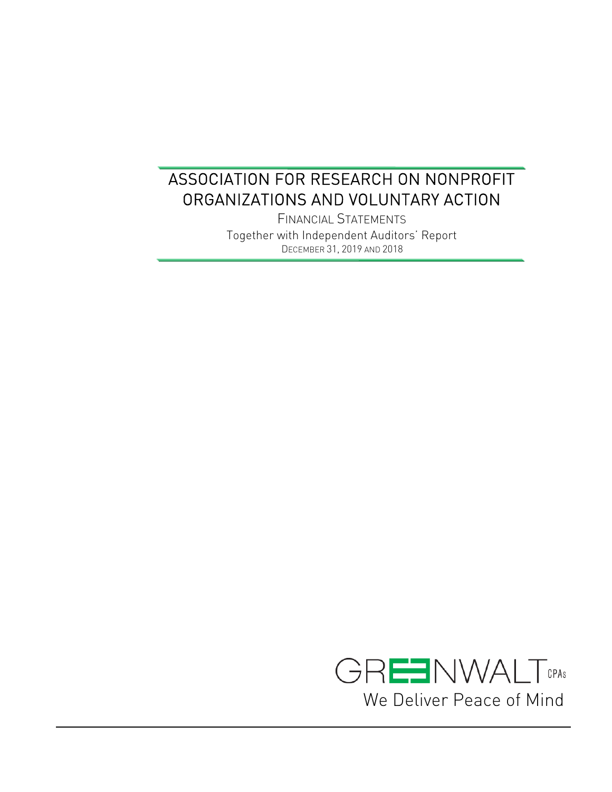FINANCIAL STATEMENTS Together with Independent Auditors' Report DECEMBER 31, 2019 AND 2018

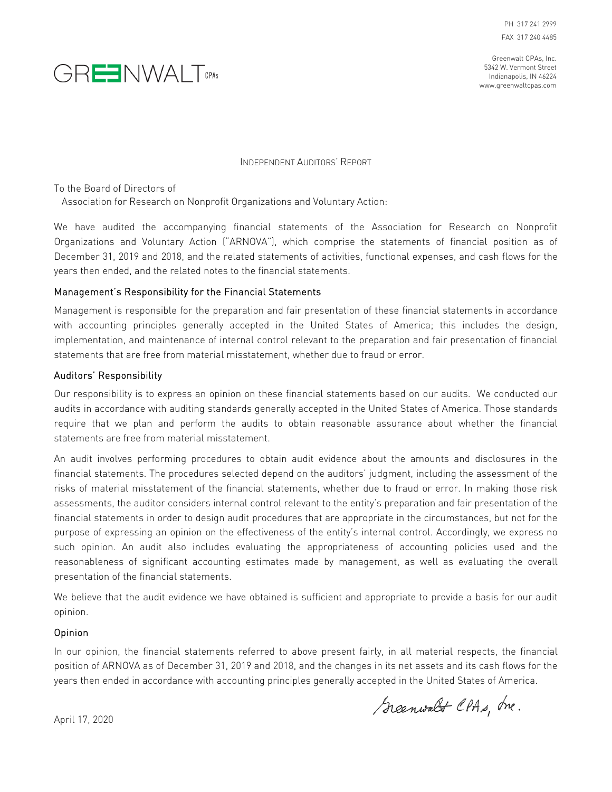PH 317 241 2999 FAX 317 240 4485



GREENWALT<sub>CPAS</sub>

INDEPENDENT AUDITORS' REPORT

To the Board of Directors of Association for Research on Nonprofit Organizations and Voluntary Action:

We have audited the accompanying financial statements of the Association for Research on Nonprofit Organizations and Voluntary Action ("ARNOVA"), which comprise the statements of financial position as of December 31, 2019 and 2018, and the related statements of activities, functional expenses, and cash flows for the years then ended, and the related notes to the financial statements.

#### Management's Responsibility for the Financial Statements

Management is responsible for the preparation and fair presentation of these financial statements in accordance with accounting principles generally accepted in the United States of America; this includes the design, implementation, and maintenance of internal control relevant to the preparation and fair presentation of financial statements that are free from material misstatement, whether due to fraud or error.

#### Auditors' Responsibility

Our responsibility is to express an opinion on these financial statements based on our audits. We conducted our audits in accordance with auditing standards generally accepted in the United States of America. Those standards require that we plan and perform the audits to obtain reasonable assurance about whether the financial statements are free from material misstatement.

An audit involves performing procedures to obtain audit evidence about the amounts and disclosures in the financial statements. The procedures selected depend on the auditors' judgment, including the assessment of the risks of material misstatement of the financial statements, whether due to fraud or error. In making those risk assessments, the auditor considers internal control relevant to the entity's preparation and fair presentation of the financial statements in order to design audit procedures that are appropriate in the circumstances, but not for the purpose of expressing an opinion on the effectiveness of the entity's internal control. Accordingly, we express no such opinion. An audit also includes evaluating the appropriateness of accounting policies used and the reasonableness of significant accounting estimates made by management, as well as evaluating the overall presentation of the financial statements.

We believe that the audit evidence we have obtained is sufficient and appropriate to provide a basis for our audit opinion.

### Opinion

In our opinion, the financial statements referred to above present fairly, in all material respects, the financial position of ARNOVA as of December 31, 2019 and 2018, and the changes in its net assets and its cash flows for the years then ended in accordance with accounting principles generally accepted in the United States of America.

Greenwalt CPAs, Inc.

April 17, 2020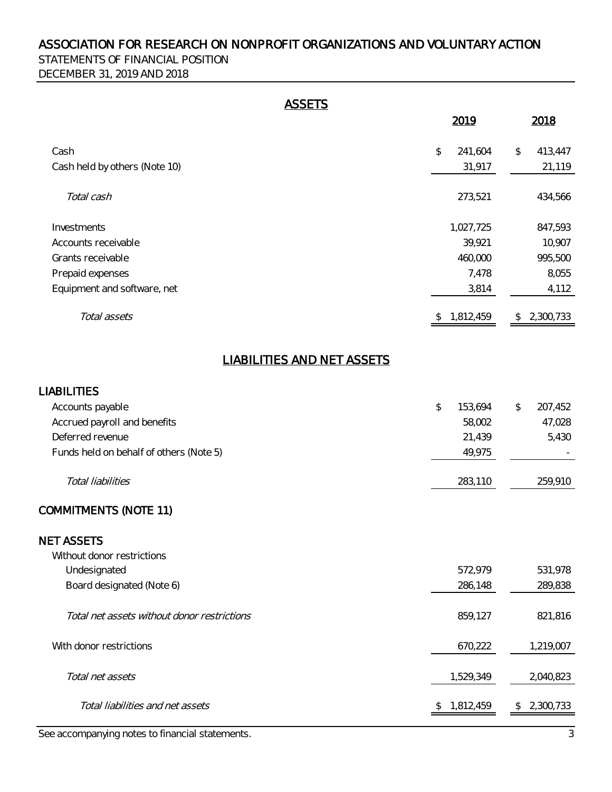STATEMENTS OF FINANCIAL POSITION DECEMBER 31, 2019 AND 2018

# **ASSETS**

|                                             | 2019            |               | 2018        |
|---------------------------------------------|-----------------|---------------|-------------|
| Cash                                        | \$<br>241,604   | \$            | 413,447     |
| Cash held by others (Note 10)               | 31,917          |               | 21,119      |
| Total cash                                  | 273,521         |               | 434,566     |
| Investments                                 | 1,027,725       |               | 847,593     |
| Accounts receivable                         | 39,921          |               | 10,907      |
| Grants receivable                           | 460,000         |               | 995,500     |
| Prepaid expenses                            | 7,478           |               | 8,055       |
| Equipment and software, net                 | 3,814           |               | 4,112       |
| Total assets                                | \$<br>1,812,459 |               | \$2,300,733 |
| <b>LIABILITIES AND NET ASSETS</b>           |                 |               |             |
| <b>LIABILITIES</b>                          |                 |               |             |
| Accounts payable                            | \$<br>153,694   | $\frac{1}{2}$ | 207,452     |
| Accrued payroll and benefits                | 58,002          |               | 47,028      |
| Deferred revenue                            | 21,439          |               | 5,430       |
| Funds held on behalf of others (Note 5)     | 49,975          |               |             |
| Total liabilities                           | 283,110         |               | 259,910     |
| <b>COMMITMENTS (NOTE 11)</b>                |                 |               |             |
| <b>NET ASSETS</b>                           |                 |               |             |
| Without donor restrictions                  |                 |               |             |
| Undesignated                                | 572,979         |               | 531,978     |
| Board designated (Note 6)                   | 286,148         |               | 289,838     |
| Total net assets without donor restrictions | 859,127         |               | 821,816     |
| With donor restrictions                     | 670,222         |               | 1,219,007   |
| Total net assets                            | 1,529,349       |               | 2,040,823   |
| Total liabilities and net assets            | \$1,812,459     | \$            | 2,300,733   |
|                                             |                 |               |             |

See accompanying notes to financial statements. 3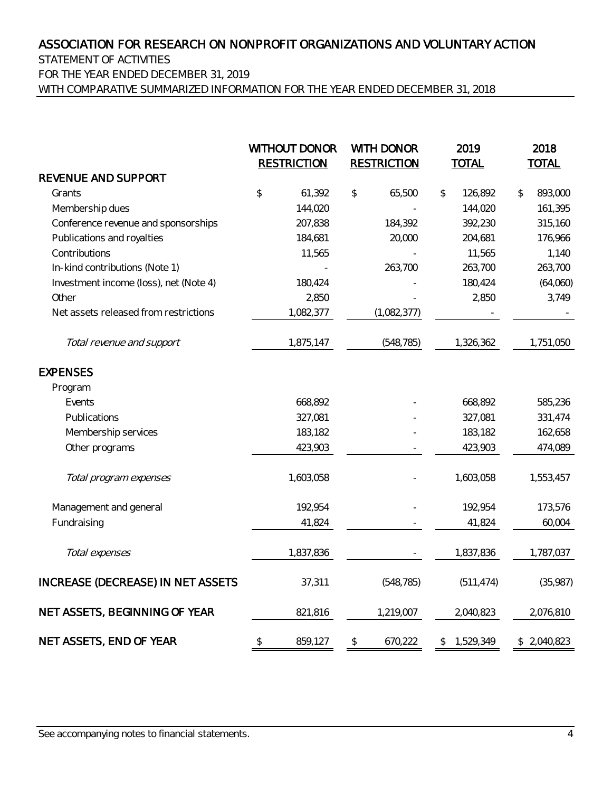STATEMENT OF ACTIVITIES

FOR THE YEAR ENDED DECEMBER 31, 2019

WITH COMPARATIVE SUMMARIZED INFORMATION FOR THE YEAR ENDED DECEMBER 31, 2018

|                                        | WITHOUT DONOR<br><b>RESTRICTION</b> | WITH DONOR<br><b>RESTRICTION</b> | 2019<br><b>TOTAL</b> | 2018<br><b>TOTAL</b> |
|----------------------------------------|-------------------------------------|----------------------------------|----------------------|----------------------|
| REVENUE AND SUPPORT                    |                                     |                                  |                      |                      |
| Grants                                 | $\updownarrow$<br>61,392            | $\updownarrow$<br>65,500         | 126,892<br>\$        | 893,000<br>\$        |
| Membership dues                        | 144,020                             |                                  | 144,020              | 161,395              |
| Conference revenue and sponsorships    | 207,838                             | 184,392                          | 392,230              | 315,160              |
| Publications and royalties             | 184,681                             | 20,000                           | 204,681              | 176,966              |
| Contributions                          | 11,565                              |                                  | 11,565               | 1,140                |
| In-kind contributions (Note 1)         |                                     | 263,700                          | 263,700              | 263,700              |
| Investment income (loss), net (Note 4) | 180,424                             |                                  | 180,424              | (64,060)             |
| Other                                  | 2,850                               |                                  | 2,850                | 3,749                |
| Net assets released from restrictions  | 1,082,377                           | (1,082,377)                      |                      |                      |
| Total revenue and support              | 1,875,147                           | (548, 785)                       | 1,326,362            | 1,751,050            |
| <b>EXPENSES</b>                        |                                     |                                  |                      |                      |
| Program                                |                                     |                                  |                      |                      |
| Events                                 | 668,892                             |                                  | 668,892              | 585,236              |
| Publications                           | 327,081                             |                                  | 327,081              | 331,474              |
| Membership services                    | 183,182                             |                                  | 183,182              | 162,658              |
| Other programs                         | 423,903                             |                                  | 423,903              | 474,089              |
| Total program expenses                 | 1,603,058                           |                                  | 1,603,058            | 1,553,457            |
| Management and general                 | 192,954                             |                                  | 192,954              | 173,576              |
| Fundraising                            | 41,824                              |                                  | 41,824               | 60,004               |
| Total expenses                         | 1,837,836                           |                                  | 1,837,836            | 1,787,037            |
| INCREASE (DECREASE) IN NET ASSETS      | 37,311                              | (548, 785)                       | (511, 474)           | (35, 987)            |
| NET ASSETS, BEGINNING OF YEAR          | 821,816                             | 1,219,007                        | 2,040,823            | 2,076,810            |
| NET ASSETS, END OF YEAR                | 859,127<br>\$                       | 670,222<br>\$                    | \$1,529,349          | \$2,040,823          |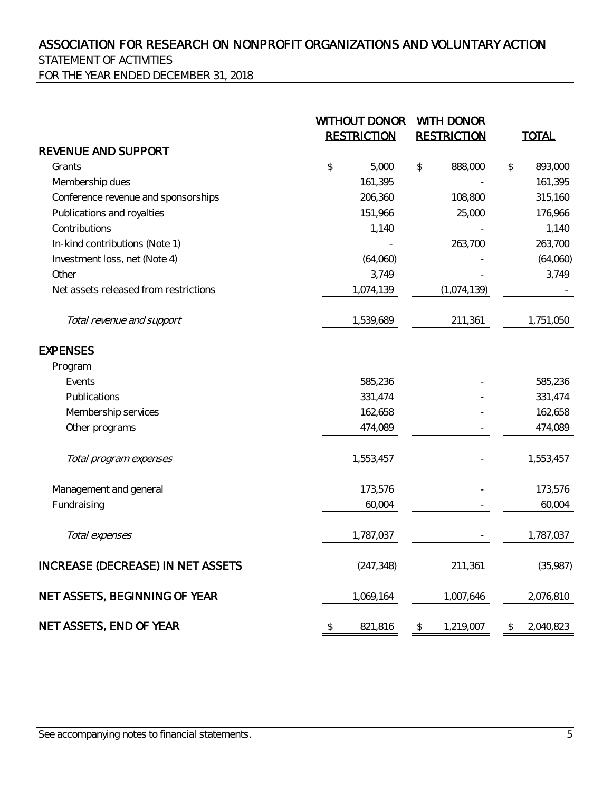STATEMENT OF ACTIVITIES

FOR THE YEAR ENDED DECEMBER 31, 2018

|                                       | WITHOUT DONOR<br><b>RESTRICTION</b> | WITH DONOR<br><b>RESTRICTION</b> | <b>TOTAL</b>    |
|---------------------------------------|-------------------------------------|----------------------------------|-----------------|
| REVENUE AND SUPPORT                   |                                     |                                  |                 |
| Grants                                | $\updownarrow$<br>5,000             | $\updownarrow$<br>888,000        | \$<br>893,000   |
| Membership dues                       | 161,395                             |                                  | 161,395         |
| Conference revenue and sponsorships   | 206,360                             | 108,800                          | 315,160         |
| Publications and royalties            | 151,966                             | 25,000                           | 176,966         |
| Contributions                         | 1,140                               |                                  | 1,140           |
| In-kind contributions (Note 1)        |                                     | 263,700                          | 263,700         |
| Investment loss, net (Note 4)         | (64,060)                            |                                  | (64,060)        |
| Other                                 | 3,749                               |                                  | 3,749           |
| Net assets released from restrictions | 1,074,139                           | (1,074,139)                      |                 |
| Total revenue and support             | 1,539,689                           | 211,361                          | 1,751,050       |
| <b>EXPENSES</b>                       |                                     |                                  |                 |
| Program                               |                                     |                                  |                 |
| Events                                | 585,236                             |                                  | 585,236         |
| Publications                          | 331,474                             |                                  | 331,474         |
| Membership services                   | 162,658                             |                                  | 162,658         |
| Other programs                        | 474,089                             |                                  | 474,089         |
| Total program expenses                | 1,553,457                           |                                  | 1,553,457       |
| Management and general                | 173,576                             |                                  | 173,576         |
| Fundraising                           | 60,004                              |                                  | 60,004          |
| Total expenses                        | 1,787,037                           |                                  | 1,787,037       |
| INCREASE (DECREASE) IN NET ASSETS     | (247, 348)                          | 211,361                          | (35, 987)       |
| NET ASSETS, BEGINNING OF YEAR         | 1,069,164                           | 1,007,646                        | 2,076,810       |
| NET ASSETS, END OF YEAR               | $\updownarrow$<br>821,816           | $\updownarrow$<br>1,219,007      | \$<br>2,040,823 |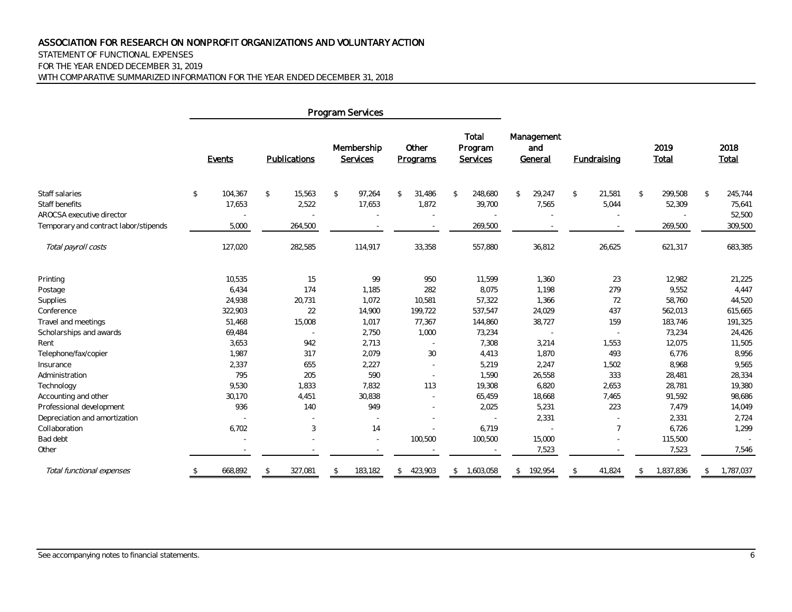STATEMENT OF FUNCTIONAL EXPENSES

FOR THE YEAR ENDED DECEMBER 31, 2019

WITH COMPARATIVE SUMMARIZED INFORMATION FOR THE YEAR ENDED DECEMBER 31, 2018

|                                       |               |              |                          |              | Program Services         |     |                          |               |                              |                              |               |                          |                 |               |
|---------------------------------------|---------------|--------------|--------------------------|--------------|--------------------------|-----|--------------------------|---------------|------------------------------|------------------------------|---------------|--------------------------|-----------------|---------------|
|                                       | Events        |              | Publications             |              | Membership<br>Services   |     | Other<br>Programs        |               | Total<br>Program<br>Services | Management<br>and<br>General |               | <b>Fundraising</b>       | 2019<br>Total   | 2018<br>Total |
| Staff salaries                        | \$<br>104,367 | $\mathbb{S}$ | 15,563                   | $\mathbb{S}$ | 97,264                   | \$  | 31,486                   | $\mathcal{L}$ | 248,680                      | \$<br>29,247                 | $\mathcal{Z}$ | 21,581                   | \$<br>299,508   | \$<br>245,744 |
| Staff benefits                        | 17,653        |              | 2,522                    |              | 17,653                   |     | 1,872                    |               | 39,700                       | 7,565                        |               | 5,044                    | 52,309          | 75,641        |
| AROCSA executive director             |               |              |                          |              |                          |     |                          |               |                              |                              |               |                          |                 | 52,500        |
| Temporary and contract labor/stipends | 5,000         |              | 264,500                  |              |                          |     | $\sim$                   |               | 269,500                      |                              |               |                          | 269,500         | 309,500       |
| Total payroll costs                   | 127,020       |              | 282,585                  |              | 114,917                  |     | 33,358                   |               | 557,880                      | 36,812                       |               | 26,625                   | 621,317         | 683,385       |
| Printing                              | 10,535        |              | 15                       |              | 99                       |     | 950                      |               | 11,599                       | 1,360                        |               | 23                       | 12,982          | 21,225        |
| Postage                               | 6,434         |              | 174                      |              | 1,185                    |     | 282                      |               | 8,075                        | 1,198                        |               | 279                      | 9,552           | 4,447         |
| Supplies                              | 24,938        |              | 20,731                   |              | 1,072                    |     | 10,581                   |               | 57,322                       | 1,366                        |               | 72                       | 58,760          | 44,520        |
| Conference                            | 322,903       |              | 22                       |              | 14,900                   |     | 199,722                  |               | 537,547                      | 24,029                       |               | 437                      | 562,013         | 615,665       |
| Travel and meetings                   | 51,468        |              | 15,008                   |              | 1,017                    |     | 77,367                   |               | 144,860                      | 38,727                       |               | 159                      | 183,746         | 191,325       |
| Scholarships and awards               | 69,484        |              | $\overline{\phantom{a}}$ |              | 2,750                    |     | 1,000                    |               | 73,234                       |                              |               | $\sim$                   | 73,234          | 24,426        |
| Rent                                  | 3,653         |              | 942                      |              | 2,713                    |     | $\sim$                   |               | 7,308                        | 3,214                        |               | 1,553                    | 12,075          | 11,505        |
| Telephone/fax/copier                  | 1,987         |              | 317                      |              | 2,079                    |     | 30                       |               | 4,413                        | 1,870                        |               | 493                      | 6,776           | 8,956         |
| Insurance                             | 2,337         |              | 655                      |              | 2,227                    |     | $\overline{\phantom{a}}$ |               | 5,219                        | 2,247                        |               | 1,502                    | 8,968           | 9,565         |
| Administration                        | 795           |              | 205                      |              | 590                      |     | $\overline{\phantom{a}}$ |               | 1,590                        | 26,558                       |               | 333                      | 28,481          | 28,334        |
| Technology                            | 9,530         |              | 1,833                    |              | 7,832                    |     | 113                      |               | 19,308                       | 6,820                        |               | 2,653                    | 28,781          | 19,380        |
| Accounting and other                  | 30,170        |              | 4,451                    |              | 30,838                   |     |                          |               | 65,459                       | 18,668                       |               | 7,465                    | 91,592          | 98,686        |
| Professional development              | 936           |              | 140                      |              | 949                      |     | $\overline{a}$           |               | 2,025                        | 5,231                        |               | 223                      | 7,479           | 14,049        |
| Depreciation and amortization         |               |              |                          |              | ×.                       |     |                          |               |                              | 2,331                        |               |                          | 2,331           | 2,724         |
| Collaboration                         | 6,702         |              | 3                        |              | 14                       |     | ä,                       |               | 6,719                        |                              |               | $\overline{7}$           | 6,726           | 1,299         |
| Bad debt                              |               |              |                          |              | $\overline{\phantom{a}}$ |     | 100,500                  |               | 100,500                      | 15,000                       |               | $\overline{\phantom{a}}$ | 115,500         |               |
| Other                                 |               |              |                          |              |                          |     |                          |               |                              | 7,523                        |               |                          | 7,523           | 7,546         |
| Total functional expenses             | \$<br>668,892 |              | 327,081                  | \$           | 183,182                  | \$. | 423,903                  | \$            | 1,603,058                    | \$<br>192,954                |               | 41,824                   | \$<br>1,837,836 | 1,787,037     |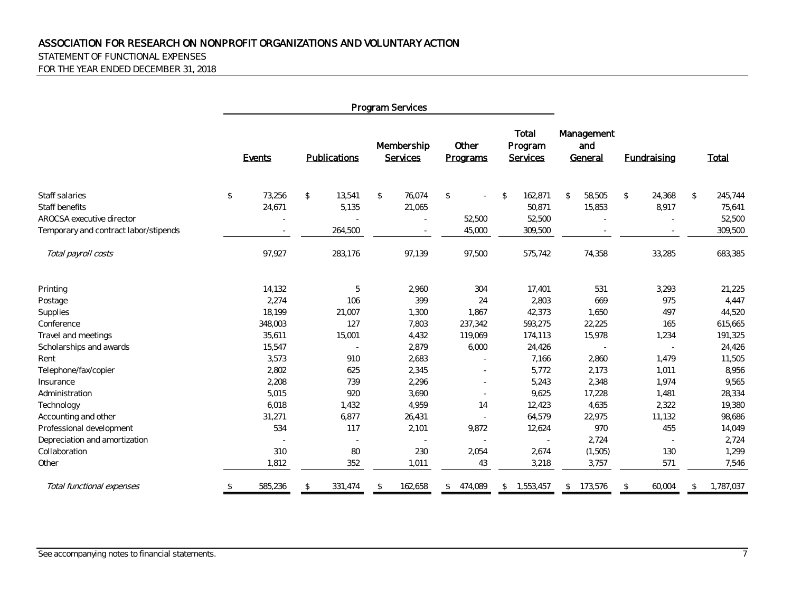# STATEMENT OF FUNCTIONAL EXPENSES

FOR THE YEAR ENDED DECEMBER 31, 2018

|                                                                                                        |                                    |                                              | Program Services                                               |                                  |                                                         |                                  |                                 |                                              |
|--------------------------------------------------------------------------------------------------------|------------------------------------|----------------------------------------------|----------------------------------------------------------------|----------------------------------|---------------------------------------------------------|----------------------------------|---------------------------------|----------------------------------------------|
|                                                                                                        | Events                             | <b>Publications</b>                          | Membership<br>Services                                         | Other<br>Programs                | Total<br>Program<br>Services                            | Management<br>and<br>General     | <b>Fundraising</b>              | Total                                        |
| Staff salaries<br>Staff benefits<br>AROCSA executive director<br>Temporary and contract labor/stipends | $$\mathbb{S}$$<br>73,256<br>24,671 | $\mathfrak{P}$<br>13,541<br>5,135<br>264,500 | $\mathfrak{L}$<br>76,074<br>21,065<br>$\overline{\phantom{a}}$ | $\mathbb{S}$<br>52,500<br>45,000 | $\mathcal{L}$<br>162,871<br>50,871<br>52,500<br>309,500 | 58,505<br>$\mathbb{S}$<br>15,853 | $\mathbb{S}$<br>24,368<br>8,917 | 245,744<br>\$<br>75,641<br>52,500<br>309,500 |
| Total payroll costs                                                                                    | 97,927                             | 283,176                                      | 97,139                                                         | 97,500                           | 575,742                                                 | 74,358                           | 33,285                          | 683,385                                      |
| Printing                                                                                               | 14,132                             | 5                                            | 2,960                                                          | 304                              | 17,401                                                  | 531                              | 3,293                           | 21,225                                       |
| Postage                                                                                                | 2,274                              | 106                                          | 399                                                            | 24                               | 2,803                                                   | 669                              | 975                             | 4,447                                        |
| Supplies                                                                                               | 18,199                             | 21,007                                       | 1,300                                                          | 1,867                            | 42,373                                                  | 1,650                            | 497                             | 44,520                                       |
| Conference                                                                                             | 348,003                            | 127                                          | 7,803                                                          | 237,342                          | 593,275                                                 | 22,225                           | 165                             | 615,665                                      |
| Travel and meetings                                                                                    | 35,611                             | 15,001                                       | 4,432                                                          | 119,069                          | 174,113                                                 | 15,978                           | 1,234                           | 191,325                                      |
| Scholarships and awards                                                                                | 15,547                             |                                              | 2,879                                                          | 6,000                            | 24,426                                                  |                                  | $\sim$                          | 24,426                                       |
| Rent                                                                                                   | 3,573                              | 910                                          | 2,683                                                          | $\overline{a}$                   | 7,166                                                   | 2,860                            | 1,479                           | 11,505                                       |
| Telephone/fax/copier                                                                                   | 2,802                              | 625                                          | 2,345                                                          |                                  | 5,772                                                   | 2,173                            | 1,011                           | 8,956                                        |
| Insurance                                                                                              | 2,208                              | 739                                          | 2,296                                                          | $\overline{a}$                   | 5,243                                                   | 2,348                            | 1,974                           | 9,565                                        |
| Administration                                                                                         | 5,015                              | 920                                          | 3,690                                                          | $\sim$                           | 9,625                                                   | 17,228                           | 1,481                           | 28,334                                       |
| Technology                                                                                             | 6,018                              | 1,432                                        | 4,959                                                          | 14                               | 12,423                                                  | 4,635                            | 2,322                           | 19,380                                       |
| Accounting and other                                                                                   | 31,271                             | 6,877                                        | 26,431                                                         | $\sim$                           | 64,579                                                  | 22,975                           | 11,132                          | 98,686                                       |
| Professional development                                                                               | 534                                | 117                                          | 2,101                                                          | 9,872                            | 12,624                                                  | 970                              | 455                             | 14,049                                       |
| Depreciation and amortization                                                                          |                                    |                                              |                                                                |                                  |                                                         | 2,724                            | $\overline{a}$                  | 2,724                                        |
| Collaboration                                                                                          | 310                                | 80                                           | 230                                                            | 2,054                            | 2,674                                                   | (1,505)                          | 130                             | 1,299                                        |
| Other                                                                                                  | 1,812                              | 352                                          | 1,011                                                          | 43                               | 3,218                                                   | 3,757                            | 571                             | 7,546                                        |
| Total functional expenses                                                                              | 585,236<br>\$                      | 331,474<br>\$                                | 162,658<br>\$                                                  | 474,089<br>\$                    | 1,553,457<br>S.                                         | 173,576<br>S                     | 60,004<br>\$                    | 1,787,037<br>$\mathcal{S}$                   |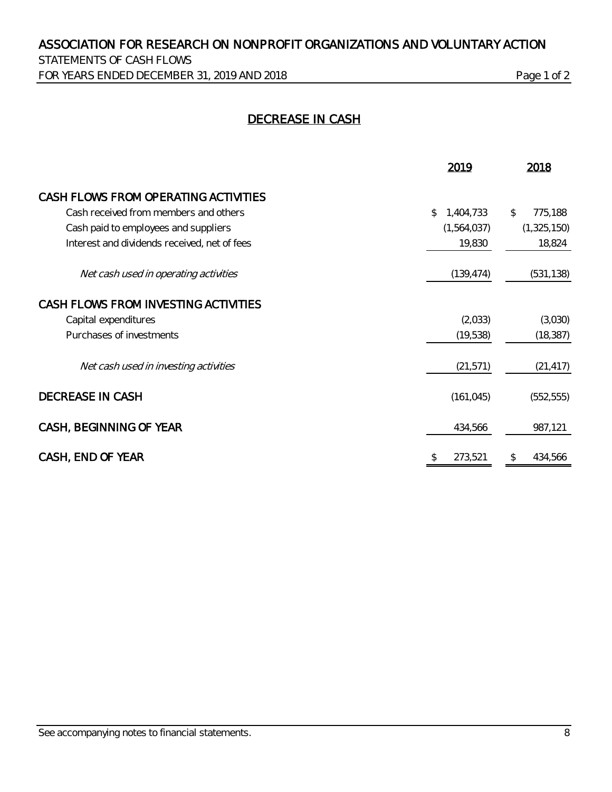STATEMENTS OF CASH FLOWS FOR YEARS ENDED DECEMBER 31, 2019 AND 2018 Page 1 of 2

# DECREASE IN CASH

|                                              | 2019            | 2018          |
|----------------------------------------------|-----------------|---------------|
| CASH FLOWS FROM OPERATING ACTIVITIES         |                 |               |
| Cash received from members and others        | 1,404,733<br>\$ | 775,188<br>\$ |
| Cash paid to employees and suppliers         | (1,564,037)     | (1,325,150)   |
| Interest and dividends received, net of fees | 19,830          | 18,824        |
| Net cash used in operating activities        | (139, 474)      | (531, 138)    |
| CASH FLOWS FROM INVESTING ACTIVITIES         |                 |               |
| Capital expenditures                         | (2,033)         | (3,030)       |
| Purchases of investments                     | (19, 538)       | (18, 387)     |
| Net cash used in investing activities        | (21, 571)       | (21, 417)     |
| <b>DECREASE IN CASH</b>                      | (161, 045)      | (552, 555)    |
| CASH, BEGINNING OF YEAR                      | 434,566         | 987,121       |
| CASH, END OF YEAR                            | 273,521         | 434,566<br>\$ |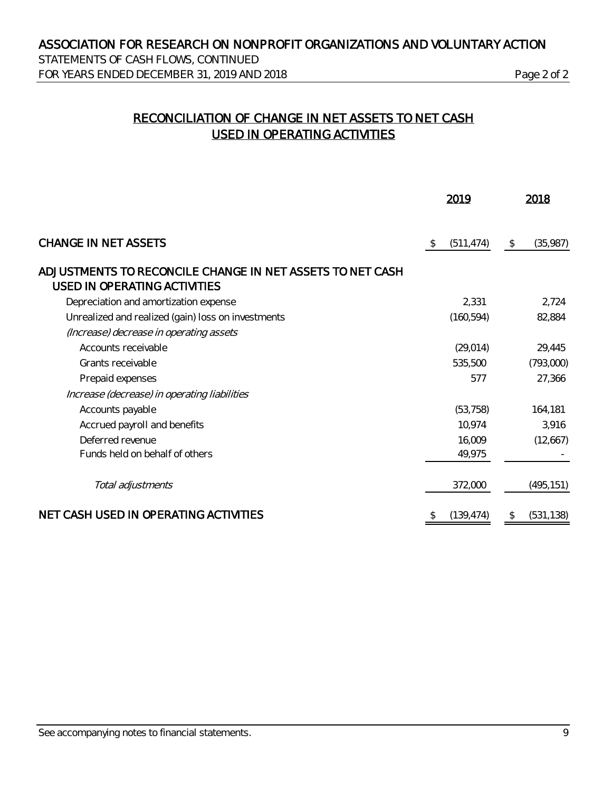STATEMENTS OF CASH FLOWS, CONTINUED FOR YEARS ENDED DECEMBER 31, 2019 AND 2018 POR VERSION Page 2 of 2

# RECONCILIATION OF CHANGE IN NET ASSETS TO NET CASH USED IN OPERATING ACTIVITIES

| <b>CHANGE IN NET ASSETS</b><br>(511, 474)<br>\$<br>$\mathcal{L}$<br>ADJUSTMENTS TO RECONCILE CHANGE IN NET ASSETS TO NET CASH<br>USED IN OPERATING ACTIVITIES | (35,987)<br>2,724 |
|---------------------------------------------------------------------------------------------------------------------------------------------------------------|-------------------|
|                                                                                                                                                               |                   |
|                                                                                                                                                               |                   |
| Depreciation and amortization expense<br>2,331                                                                                                                |                   |
| Unrealized and realized (gain) loss on investments<br>(160, 594)                                                                                              | 82,884            |
| (Increase) decrease in operating assets                                                                                                                       |                   |
| Accounts receivable<br>(29, 014)                                                                                                                              | 29,445            |
| Grants receivable<br>535,500                                                                                                                                  | (793,000)         |
| Prepaid expenses<br>577                                                                                                                                       | 27,366            |
| Increase (decrease) in operating liabilities                                                                                                                  |                   |
| Accounts payable<br>(53, 758)                                                                                                                                 | 164,181           |
| Accrued payroll and benefits<br>10,974                                                                                                                        | 3,916             |
| Deferred revenue<br>16,009                                                                                                                                    | (12,667)          |
| Funds held on behalf of others<br>49,975                                                                                                                      |                   |
| 372,000<br>Total adjustments                                                                                                                                  | (495, 151)        |
| NET CASH USED IN OPERATING ACTIVITIES<br>(139, 474)                                                                                                           | (531, 138)        |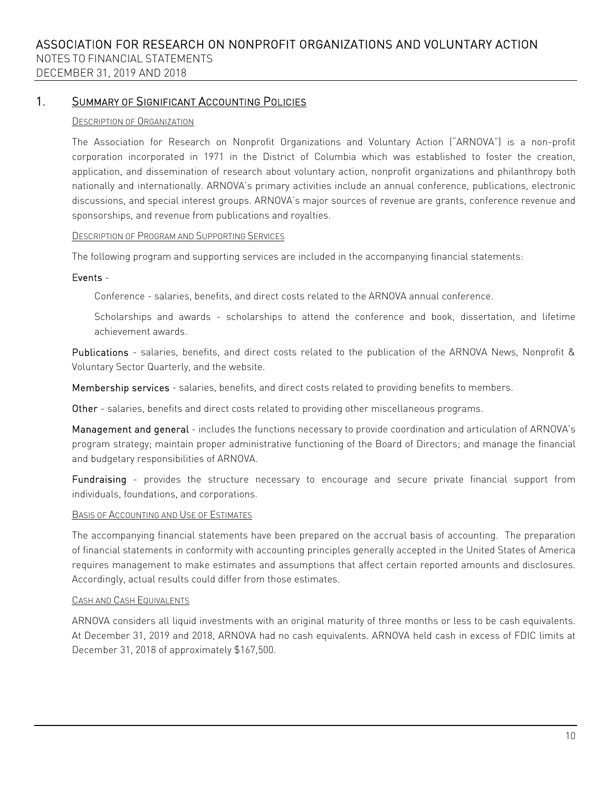### 1. SUMMARY OF SIGNIFICANT ACCOUNTING POLICIES

#### DESCRIPTION OF ORGANIZATION

The Association for Research on Nonprofit Organizations and Voluntary Action ("ARNOVA") is a non-profit corporation incorporated in 1971 in the District of Columbia which was established to foster the creation, application, and dissemination of research about voluntary action, nonprofit organizations and philanthropy both nationally and internationally. ARNOVA's primary activities include an annual conference, publications, electronic discussions, and special interest groups. ARNOVA's major sources of revenue are grants, conference revenue and sponsorships, and revenue from publications and royalties.

#### DESCRIPTION OF PROGRAM AND SUPPORTING SERVICES

The following program and supporting services are included in the accompanying financial statements:

#### Events -

Conference - salaries, benefits, and direct costs related to the ARNOVA annual conference.

Scholarships and awards - scholarships to attend the conference and book, dissertation, and lifetime achievement awards.

Publications - salaries, benefits, and direct costs related to the publication of the ARNOVA News, Nonprofit & Voluntary Sector Quarterly, and the website.

Membership services - salaries, benefits, and direct costs related to providing benefits to members.

Other - salaries, benefits and direct costs related to providing other miscellaneous programs.

Management and general - includes the functions necessary to provide coordination and articulation of ARNOVA's program strategy; maintain proper administrative functioning of the Board of Directors; and manage the financial and budgetary responsibilities of ARNOVA.

Fundraising - provides the structure necessary to encourage and secure private financial support from individuals, foundations, and corporations.

#### BASIS OF ACCOUNTING AND USE OF ESTIMATES

The accompanying financial statements have been prepared on the accrual basis of accounting. The preparation of financial statements in conformity with accounting principles generally accepted in the United States of America requires management to make estimates and assumptions that affect certain reported amounts and disclosures. Accordingly, actual results could differ from those estimates.

#### CASH AND CASH EQUIVALENTS

ARNOVA considers all liquid investments with an original maturity of three months or less to be cash equivalents. At December 31, 2019 and 2018, ARNOVA had no cash equivalents. ARNOVA held cash in excess of FDIC limits at December 31, 2018 of approximately \$167,500.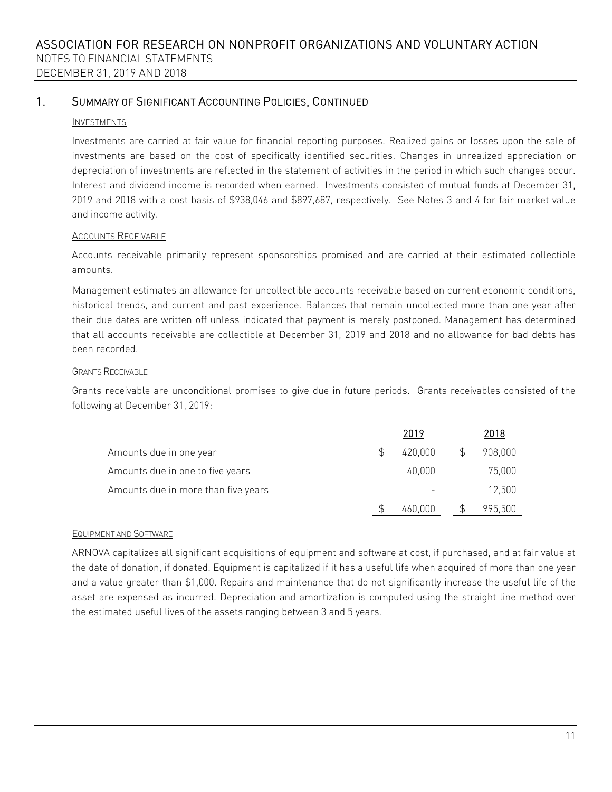### 1. SUMMARY OF SIGNIFICANT ACCOUNTING POLICIES, CONTINUED

#### INVESTMENTS

Investments are carried at fair value for financial reporting purposes. Realized gains or losses upon the sale of investments are based on the cost of specifically identified securities. Changes in unrealized appreciation or depreciation of investments are reflected in the statement of activities in the period in which such changes occur. Interest and dividend income is recorded when earned. Investments consisted of mutual funds at December 31, 2019 and 2018 with a cost basis of \$938,046 and \$897,687, respectively. See Notes 3 and 4 for fair market value and income activity.

#### ACCOUNTS RECEIVABLE

Accounts receivable primarily represent sponsorships promised and are carried at their estimated collectible amounts.

Management estimates an allowance for uncollectible accounts receivable based on current economic conditions, historical trends, and current and past experience. Balances that remain uncollected more than one year after their due dates are written off unless indicated that payment is merely postponed. Management has determined that all accounts receivable are collectible at December 31, 2019 and 2018 and no allowance for bad debts has been recorded.

#### GRANTS RECEIVABLE

Grants receivable are unconditional promises to give due in future periods. Grants receivables consisted of the following at December 31, 2019:

|                                     | 2019    | 2018          |
|-------------------------------------|---------|---------------|
| Amounts due in one year             | 420,000 | \$<br>908,000 |
| Amounts due in one to five years    | 40,000  | 75,000        |
| Amounts due in more than five years |         | 12,500        |
|                                     | 460,000 | 995,500       |

#### EQUIPMENT AND SOFTWARE

ARNOVA capitalizes all significant acquisitions of equipment and software at cost, if purchased, and at fair value at the date of donation, if donated. Equipment is capitalized if it has a useful life when acquired of more than one year and a value greater than \$1,000. Repairs and maintenance that do not significantly increase the useful life of the asset are expensed as incurred. Depreciation and amortization is computed using the straight line method over the estimated useful lives of the assets ranging between 3 and 5 years.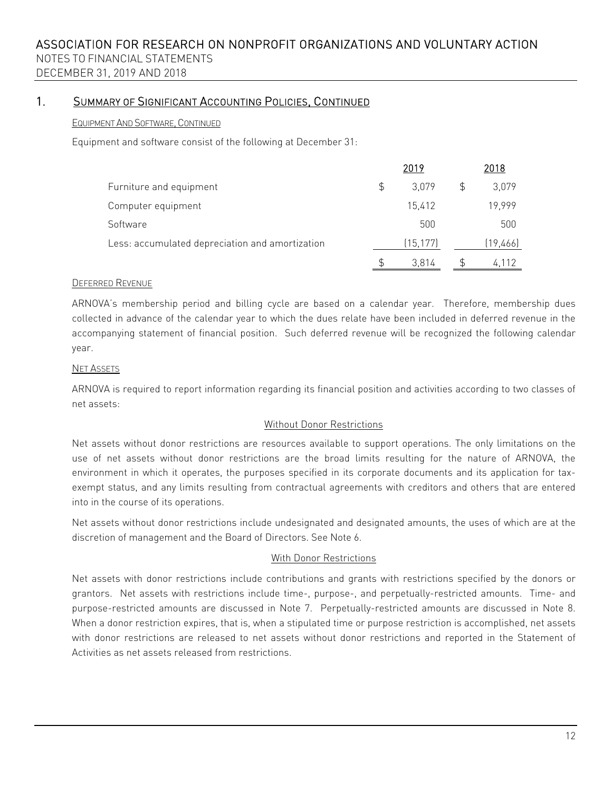### 1. SUMMARY OF SIGNIFICANT ACCOUNTING POLICIES, CONTINUED

#### EQUIPMENT AND SOFTWARE, CONTINUED

Equipment and software consist of the following at December 31:

|                                                 |                | 2019      | 2018        |
|-------------------------------------------------|----------------|-----------|-------------|
| Furniture and equipment                         | $\mathfrak{L}$ | 3.079     | \$<br>3,079 |
| Computer equipment                              |                | 15,412    | 19,999      |
| Software                                        |                | 500       | 500         |
| Less: accumulated depreciation and amortization |                | (15, 177) | (19,466)    |
|                                                 |                | 3.814     | 4.112       |

#### DEFERRED REVENUE

ARNOVA's membership period and billing cycle are based on a calendar year. Therefore, membership dues collected in advance of the calendar year to which the dues relate have been included in deferred revenue in the accompanying statement of financial position. Such deferred revenue will be recognized the following calendar year.

#### NET ASSETS

ARNOVA is required to report information regarding its financial position and activities according to two classes of net assets:

#### Without Donor Restrictions

Net assets without donor restrictions are resources available to support operations. The only limitations on the use of net assets without donor restrictions are the broad limits resulting for the nature of ARNOVA, the environment in which it operates, the purposes specified in its corporate documents and its application for taxexempt status, and any limits resulting from contractual agreements with creditors and others that are entered into in the course of its operations.

Net assets without donor restrictions include undesignated and designated amounts, the uses of which are at the discretion of management and the Board of Directors. See Note 6.

#### With Donor Restrictions

Net assets with donor restrictions include contributions and grants with restrictions specified by the donors or grantors. Net assets with restrictions include time-, purpose-, and perpetually-restricted amounts. Time- and purpose-restricted amounts are discussed in Note 7. Perpetually-restricted amounts are discussed in Note 8. When a donor restriction expires, that is, when a stipulated time or purpose restriction is accomplished, net assets with donor restrictions are released to net assets without donor restrictions and reported in the Statement of Activities as net assets released from restrictions.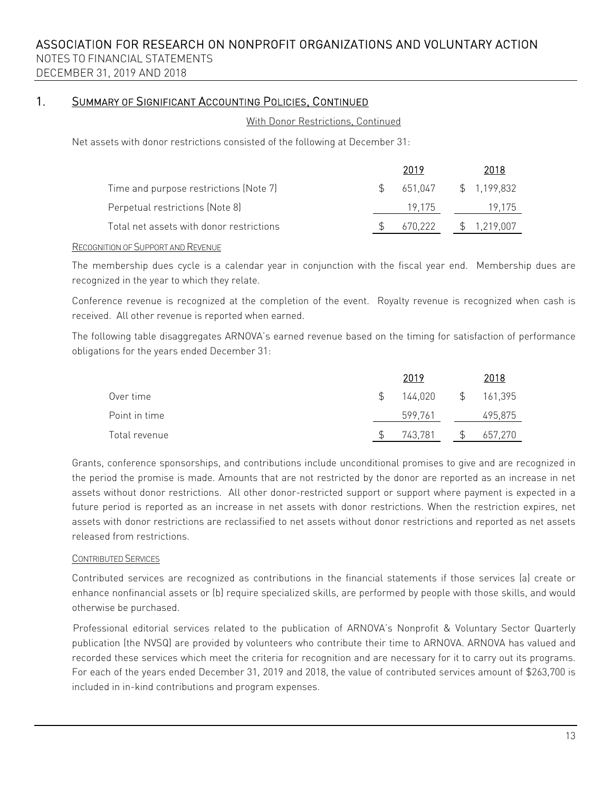NOTES TO FINANCIAL STATEMENTS DECEMBER 31, 2019 AND 2018

### 1. SUMMARY OF SIGNIFICANT ACCOUNTING POLICIES, CONTINUED

With Donor Restrictions, Continued

Net assets with donor restrictions consisted of the following at December 31:

|                                          | 2019                    | 2018        |
|------------------------------------------|-------------------------|-------------|
| Time and purpose restrictions (Note 7)   | $$651.047$ $$1.199.832$ |             |
| Perpetual restrictions (Note 8)          | 19.175                  | 19 175      |
| Total net assets with donor restrictions | 670.222                 | \$1,219,007 |

#### RECOGNITION OF SUPPORT AND REVENUE

The membership dues cycle is a calendar year in conjunction with the fiscal year end. Membership dues are recognized in the year to which they relate.

Conference revenue is recognized at the completion of the event. Royalty revenue is recognized when cash is received. All other revenue is reported when earned.

The following table disaggregates ARNOVA's earned revenue based on the timing for satisfaction of performance obligations for the years ended December 31:

|               |               | 2019               |                | 2018    |
|---------------|---------------|--------------------|----------------|---------|
| Over time     | $\mathcal{L}$ | 144,020 \$ 161,395 |                |         |
| Point in time |               | 599.761            |                | 495.875 |
| Total revenue |               | 743.781            | $\mathfrak{S}$ | 657,270 |

Grants, conference sponsorships, and contributions include unconditional promises to give and are recognized in the period the promise is made. Amounts that are not restricted by the donor are reported as an increase in net assets without donor restrictions. All other donor-restricted support or support where payment is expected in a future period is reported as an increase in net assets with donor restrictions. When the restriction expires, net assets with donor restrictions are reclassified to net assets without donor restrictions and reported as net assets released from restrictions.

#### CONTRIBUTED SERVICES

Contributed services are recognized as contributions in the financial statements if those services (a) create or enhance nonfinancial assets or (b) require specialized skills, are performed by people with those skills, and would otherwise be purchased.

Professional editorial services related to the publication of ARNOVA's Nonprofit & Voluntary Sector Quarterly publication (the NVSQ) are provided by volunteers who contribute their time to ARNOVA. ARNOVA has valued and recorded these services which meet the criteria for recognition and are necessary for it to carry out its programs. For each of the years ended December 31, 2019 and 2018, the value of contributed services amount of \$263,700 is included in in-kind contributions and program expenses.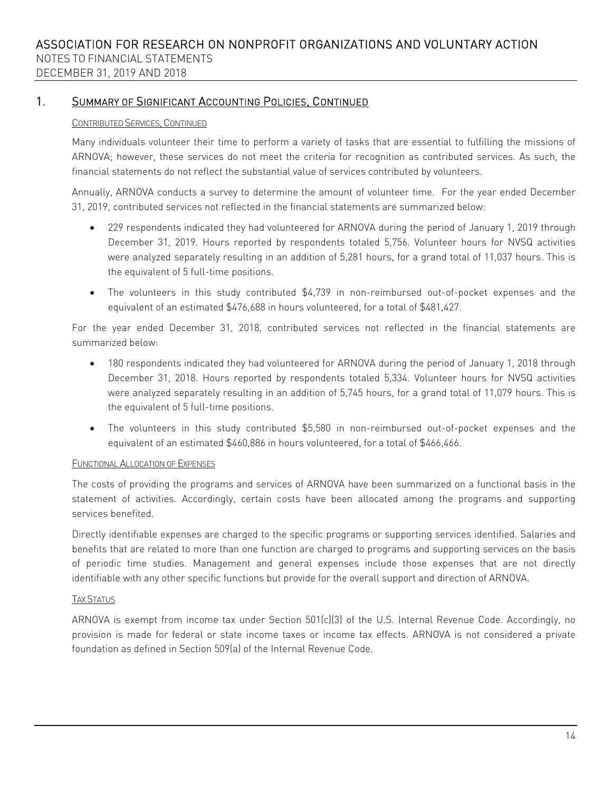# 1. SUMMARY OF SIGNIFICANT ACCOUNTING POLICIES, CONTINUED

#### CONTRIBUTED SERVICES, CONTINUED

Many individuals volunteer their time to perform a variety of tasks that are essential to fulfilling the missions of ARNOVA; however, these services do not meet the criteria for recognition as contributed services. As such, the financial statements do not reflect the substantial value of services contributed by volunteers.

Annually, ARNOVA conducts a survey to determine the amount of volunteer time. For the year ended December 31, 2019, contributed services not reflected in the financial statements are summarized below:

- 229 respondents indicated they had volunteered for ARNOVA during the period of January 1, 2019 through December 31, 2019. Hours reported by respondents totaled 5,756. Volunteer hours for NVSQ activities were analyzed separately resulting in an addition of 5,281 hours, for a grand total of 11,037 hours. This is the equivalent of 5 full-time positions.
- The volunteers in this study contributed \$4,739 in non-reimbursed out-of-pocket expenses and the equivalent of an estimated \$476,688 in hours volunteered, for a total of \$481,427.

For the year ended December 31, 2018, contributed services not reflected in the financial statements are summarized below:

- 180 respondents indicated they had volunteered for ARNOVA during the period of January 1, 2018 through December 31, 2018. Hours reported by respondents totaled 5,334. Volunteer hours for NVSQ activities were analyzed separately resulting in an addition of 5,745 hours, for a grand total of 11,079 hours. This is the equivalent of 5 full-time positions.
- The volunteers in this study contributed \$5,580 in non-reimbursed out-of-pocket expenses and the equivalent of an estimated \$460,886 in hours volunteered, for a total of \$466,466.

#### FUNCTIONAL ALLOCATION OF EXPENSES

The costs of providing the programs and services of ARNOVA have been summarized on a functional basis in the statement of activities. Accordingly, certain costs have been allocated among the programs and supporting services benefited.

Directly identifiable expenses are charged to the specific programs or supporting services identified. Salaries and benefits that are related to more than one function are charged to programs and supporting services on the basis of periodic time studies. Management and general expenses include those expenses that are not directly identifiable with any other specific functions but provide for the overall support and direction of ARNOVA.

#### TAX STATUS

ARNOVA is exempt from income tax under Section 501(c)(3) of the U.S. Internal Revenue Code. Accordingly, no provision is made for federal or state income taxes or income tax effects. ARNOVA is not considered a private foundation as defined in Section 509(a) of the Internal Revenue Code.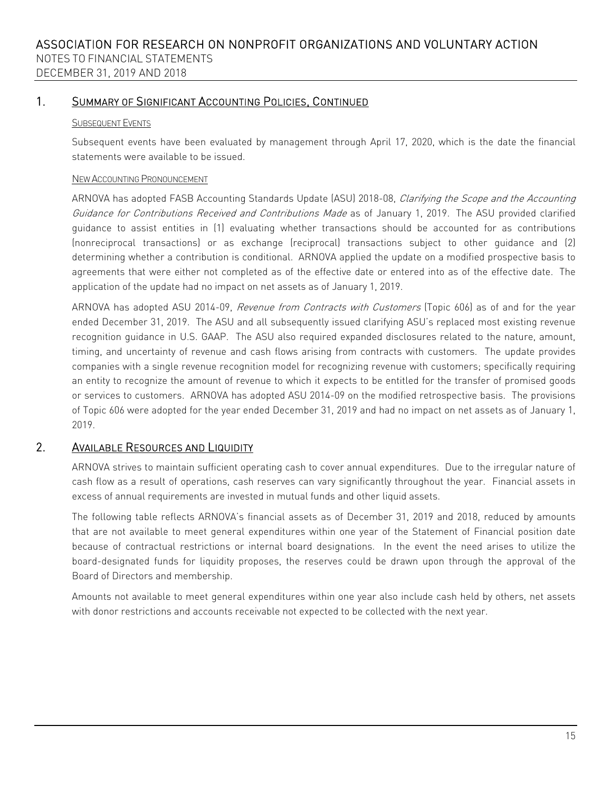# 1. SUMMARY OF SIGNIFICANT ACCOUNTING POLICIES, CONTINUED

#### SUBSEQUENT EVENTS

Subsequent events have been evaluated by management through April 17, 2020, which is the date the financial statements were available to be issued.

#### NEW ACCOUNTING PRONOUNCEMENT

ARNOVA has adopted FASB Accounting Standards Update (ASU) 2018-08, Clarifying the Scope and the Accounting Guidance for Contributions Received and Contributions Made as of January 1, 2019. The ASU provided clarified guidance to assist entities in (1) evaluating whether transactions should be accounted for as contributions (nonreciprocal transactions) or as exchange (reciprocal) transactions subject to other guidance and (2) determining whether a contribution is conditional. ARNOVA applied the update on a modified prospective basis to agreements that were either not completed as of the effective date or entered into as of the effective date. The application of the update had no impact on net assets as of January 1, 2019.

ARNOVA has adopted ASU 2014-09, Revenue from Contracts with Customers (Topic 606) as of and for the year ended December 31, 2019. The ASU and all subsequently issued clarifying ASU's replaced most existing revenue recognition guidance in U.S. GAAP. The ASU also required expanded disclosures related to the nature, amount, timing, and uncertainty of revenue and cash flows arising from contracts with customers. The update provides companies with a single revenue recognition model for recognizing revenue with customers; specifically requiring an entity to recognize the amount of revenue to which it expects to be entitled for the transfer of promised goods or services to customers. ARNOVA has adopted ASU 2014-09 on the modified retrospective basis. The provisions of Topic 606 were adopted for the year ended December 31, 2019 and had no impact on net assets as of January 1, 2019.

# 2. AVAILABLE RESOURCES AND LIQUIDITY

ARNOVA strives to maintain sufficient operating cash to cover annual expenditures. Due to the irregular nature of cash flow as a result of operations, cash reserves can vary significantly throughout the year. Financial assets in excess of annual requirements are invested in mutual funds and other liquid assets.

The following table reflects ARNOVA's financial assets as of December 31, 2019 and 2018, reduced by amounts that are not available to meet general expenditures within one year of the Statement of Financial position date because of contractual restrictions or internal board designations. In the event the need arises to utilize the board-designated funds for liquidity proposes, the reserves could be drawn upon through the approval of the Board of Directors and membership.

Amounts not available to meet general expenditures within one year also include cash held by others, net assets with donor restrictions and accounts receivable not expected to be collected with the next year.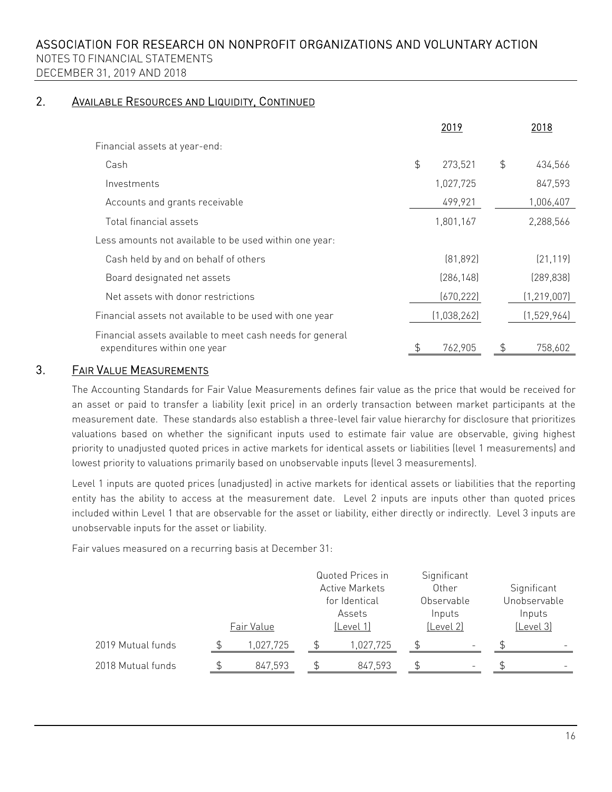ASSOCIATION FOR RESEARCH ON NONPROFIT ORGANIZATIONS AND VOLUNTARY ACTION NOTES TO FINANCIAL STATEMENTS DECEMBER 31, 2019 AND 2018

### 2. AVAILABLE RESOURCES AND LIQUIDITY, CONTINUED

|                                                                                           | 2019          | 2018          |
|-------------------------------------------------------------------------------------------|---------------|---------------|
| Financial assets at year-end:                                                             |               |               |
| Cash                                                                                      | \$<br>273,521 | \$<br>434,566 |
| Investments                                                                               | 1,027,725     | 847,593       |
| Accounts and grants receivable                                                            | 499,921       | 1,006,407     |
| Total financial assets                                                                    | 1,801,167     | 2,288,566     |
| Less amounts not available to be used within one year:                                    |               |               |
| Cash held by and on behalf of others                                                      | [81,892]      | [21, 119]     |
| Board designated net assets                                                               | (286, 148)    | (289, 838)    |
| Net assets with donor restrictions                                                        | (670, 222)    | (1, 219, 007) |
| Financial assets not available to be used with one year                                   | (1,038,262)   | (1,529,964)   |
| Financial assets available to meet cash needs for general<br>expenditures within one year | \$<br>762,905 | \$<br>758,602 |

# 3. FAIR VALUE MEASUREMENTS

The Accounting Standards for Fair Value Measurements defines fair value as the price that would be received for an asset or paid to transfer a liability (exit price) in an orderly transaction between market participants at the measurement date. These standards also establish a three-level fair value hierarchy for disclosure that prioritizes valuations based on whether the significant inputs used to estimate fair value are observable, giving highest priority to unadjusted quoted prices in active markets for identical assets or liabilities (level 1 measurements) and lowest priority to valuations primarily based on unobservable inputs (level 3 measurements).

Level 1 inputs are quoted prices (unadjusted) in active markets for identical assets or liabilities that the reporting entity has the ability to access at the measurement date. Level 2 inputs are inputs other than quoted prices included within Level 1 that are observable for the asset or liability, either directly or indirectly. Level 3 inputs are unobservable inputs for the asset or liability.

Fair values measured on a recurring basis at December 31:

|                   | Fair Value |           | Quoted Prices in<br><b>Active Markets</b><br>for Identical<br>Assets<br>(Level 1) |           | Significant<br>Other<br>Observable<br>Inputs<br>(Level 2) |        | Significant<br>Unobservable<br>Inputs<br>[Level 3] |  |
|-------------------|------------|-----------|-----------------------------------------------------------------------------------|-----------|-----------------------------------------------------------|--------|----------------------------------------------------|--|
| 2019 Mutual funds |            | 1,027,725 |                                                                                   | 1,027,725 |                                                           |        |                                                    |  |
| 2018 Mutual funds |            | 847,593   |                                                                                   | 847,593   |                                                           | $\sim$ |                                                    |  |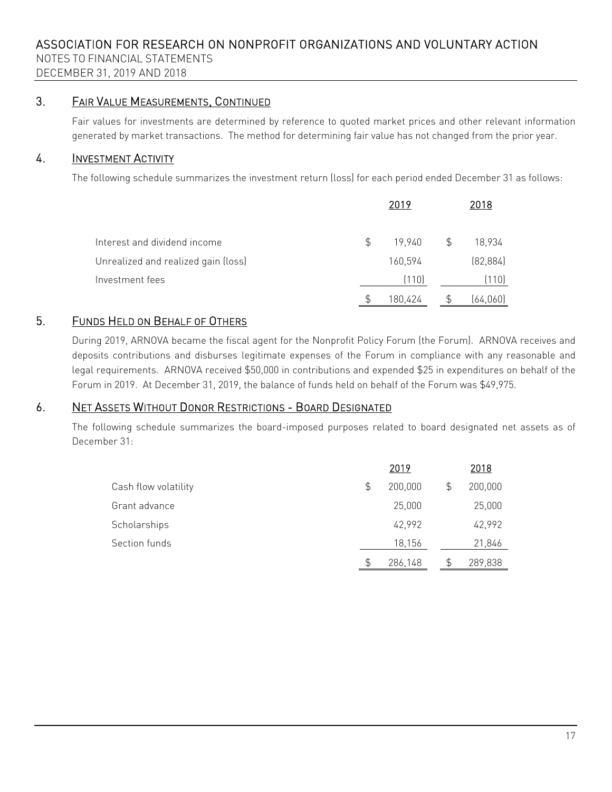# 3. FAIR VALUE MEASUREMENTS, CONTINUED

Fair values for investments are determined by reference to quoted market prices and other relevant information generated by market transactions. The method for determining fair value has not changed from the prior year.

# 4. INVESTMENT ACTIVITY

The following schedule summarizes the investment return (loss) for each period ended December 31 as follows:

|                                     | 2019         | 2018         |
|-------------------------------------|--------------|--------------|
| Interest and dividend income        | \$<br>19,940 | \$<br>18,934 |
| Unrealized and realized gain (loss) | 160,594      | [82, 884]    |
| Investment fees                     | (110)        | (110)        |
|                                     | 180,424      | (64,060)     |

# 5. FUNDS HELD ON BEHALF OF OTHERS

During 2019, ARNOVA became the fiscal agent for the Nonprofit Policy Forum (the Forum). ARNOVA receives and deposits contributions and disburses legitimate expenses of the Forum in compliance with any reasonable and legal requirements. ARNOVA received \$50,000 in contributions and expended \$25 in expenditures on behalf of the Forum in 2019. At December 31, 2019, the balance of funds held on behalf of the Forum was \$49,975.

# 6. NET ASSETS WITHOUT DONOR RESTRICTIONS - BOARD DESIGNATED

The following schedule summarizes the board-imposed purposes related to board designated net assets as of December 31:

|                      | 2019          |    | 2018    |
|----------------------|---------------|----|---------|
| Cash flow volatility | \$<br>200,000 | \$ | 200,000 |
| Grant advance        | 25,000        |    | 25,000  |
| Scholarships         | 42,992        |    | 42,992  |
| Section funds        | 18,156        |    | 21,846  |
|                      | \$<br>286,148 | S  | 289,838 |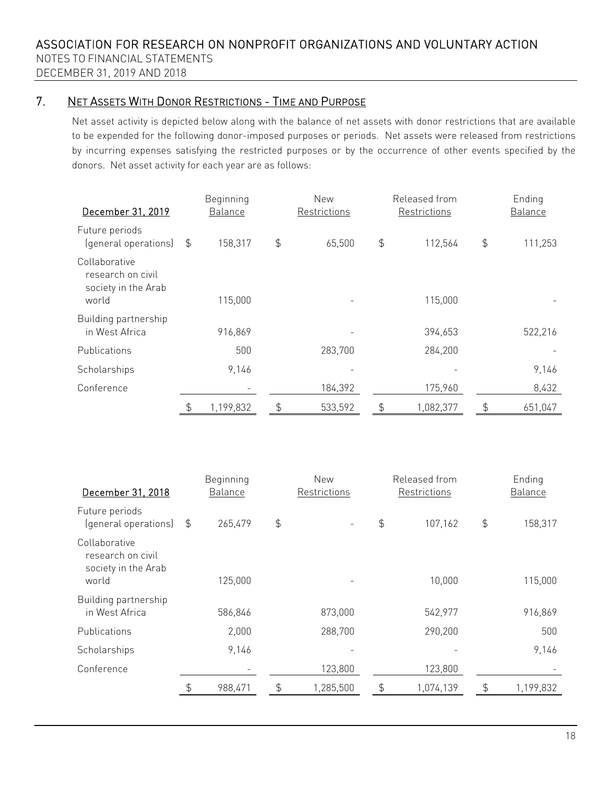# 7. NET ASSETS WITH DONOR RESTRICTIONS - TIME AND PURPOSE

Net asset activity is depicted below along with the balance of net assets with donor restrictions that are available to be expended for the following donor-imposed purposes or periods. Net assets were released from restrictions by incurring expenses satisfying the restricted purposes or by the occurrence of other events specified by the donors. Net asset activity for each year are as follows:

| December 31, 2019                                                  | Beginning<br>Balance |               | <b>New</b><br>Restrictions |               | Released from<br>Restrictions |               | Ending<br>Balance |  |
|--------------------------------------------------------------------|----------------------|---------------|----------------------------|---------------|-------------------------------|---------------|-------------------|--|
| Future periods<br>(general operations) \$                          | 158,317              | $\frac{1}{2}$ | 65,500                     | $\frac{4}{5}$ | 112,564                       | $\frac{1}{2}$ | 111,253           |  |
| Collaborative<br>research on civil<br>society in the Arab<br>world | 115,000              |               |                            |               | 115,000                       |               |                   |  |
| Building partnership<br>in West Africa                             | 916,869              |               |                            |               | 394,653                       |               | 522,216           |  |
| Publications                                                       | 500                  |               | 283,700                    |               | 284,200                       |               |                   |  |
| Scholarships                                                       | 9,146                |               |                            |               |                               |               | 9,146             |  |
| Conference                                                         |                      |               | 184,392                    |               | 175,960                       |               | 8,432             |  |
|                                                                    | \$<br>1,199,832      | \$            | 533,592                    | \$            | 1,082,377                     | \$            | 651,047           |  |

| December 31, 2018                                                  |                | Beginning<br>Balance |               | New<br>Restrictions      |    | Released from<br>Restrictions |    | Ending<br>Balance |  |
|--------------------------------------------------------------------|----------------|----------------------|---------------|--------------------------|----|-------------------------------|----|-------------------|--|
| Future periods<br>(general operations)                             | $\mathfrak{S}$ | 265,479              | $\frac{4}{5}$ | $\overline{\phantom{a}}$ | \$ | 107,162                       | \$ | 158,317           |  |
| Collaborative<br>research on civil<br>society in the Arab<br>world |                | 125,000              |               |                          |    | 10,000                        |    | 115,000           |  |
| Building partnership<br>in West Africa                             |                | 586,846              |               | 873,000                  |    | 542,977                       |    | 916,869           |  |
| Publications                                                       |                | 2,000                |               | 288,700                  |    | 290,200                       |    | 500               |  |
| Scholarships                                                       |                | 9,146                |               |                          |    |                               |    | 9,146             |  |
| Conference                                                         |                |                      |               | 123,800                  |    | 123,800                       |    |                   |  |
|                                                                    | \$             | 988,471              | \$            | 1,285,500                | S  | 1,074,139                     | S  | 1,199,832         |  |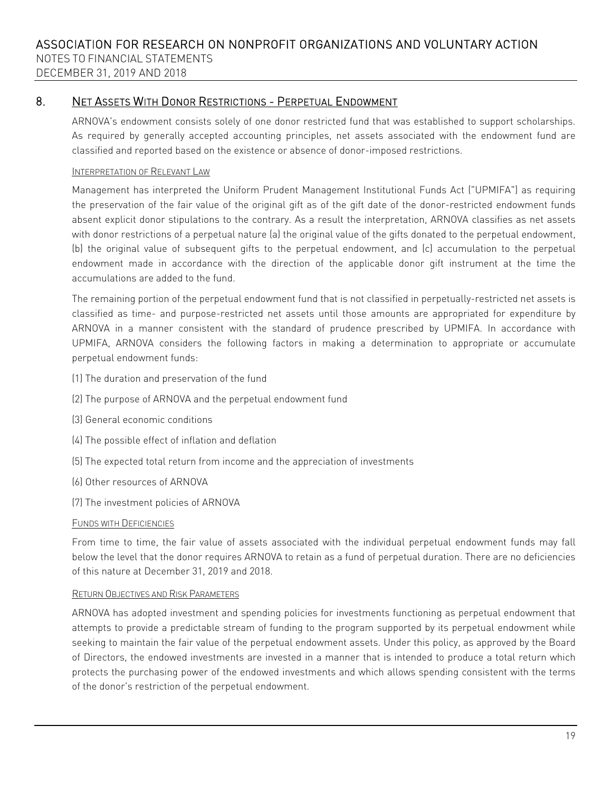# 8. NET ASSETS WITH DONOR RESTRICTIONS - PERPETUAL ENDOWMENT

ARNOVA's endowment consists solely of one donor restricted fund that was established to support scholarships. As required by generally accepted accounting principles, net assets associated with the endowment fund are classified and reported based on the existence or absence of donor-imposed restrictions.

#### INTERPRETATION OF RELEVANT LAW

Management has interpreted the Uniform Prudent Management Institutional Funds Act ("UPMIFA") as requiring the preservation of the fair value of the original gift as of the gift date of the donor-restricted endowment funds absent explicit donor stipulations to the contrary. As a result the interpretation, ARNOVA classifies as net assets with donor restrictions of a perpetual nature (a) the original value of the gifts donated to the perpetual endowment, (b) the original value of subsequent gifts to the perpetual endowment, and (c) accumulation to the perpetual endowment made in accordance with the direction of the applicable donor gift instrument at the time the accumulations are added to the fund.

The remaining portion of the perpetual endowment fund that is not classified in perpetually-restricted net assets is classified as time- and purpose-restricted net assets until those amounts are appropriated for expenditure by ARNOVA in a manner consistent with the standard of prudence prescribed by UPMIFA. In accordance with UPMIFA, ARNOVA considers the following factors in making a determination to appropriate or accumulate perpetual endowment funds:

- (1) The duration and preservation of the fund
- (2) The purpose of ARNOVA and the perpetual endowment fund
- (3) General economic conditions
- (4) The possible effect of inflation and deflation
- (5) The expected total return from income and the appreciation of investments
- (6) Other resources of ARNOVA
- (7) The investment policies of ARNOVA

#### FUNDS WITH DEFICIENCIES

From time to time, the fair value of assets associated with the individual perpetual endowment funds may fall below the level that the donor requires ARNOVA to retain as a fund of perpetual duration. There are no deficiencies of this nature at December 31, 2019 and 2018.

#### RETURN OBJECTIVES AND RISK PARAMETERS

ARNOVA has adopted investment and spending policies for investments functioning as perpetual endowment that attempts to provide a predictable stream of funding to the program supported by its perpetual endowment while seeking to maintain the fair value of the perpetual endowment assets. Under this policy, as approved by the Board of Directors, the endowed investments are invested in a manner that is intended to produce a total return which protects the purchasing power of the endowed investments and which allows spending consistent with the terms of the donor's restriction of the perpetual endowment.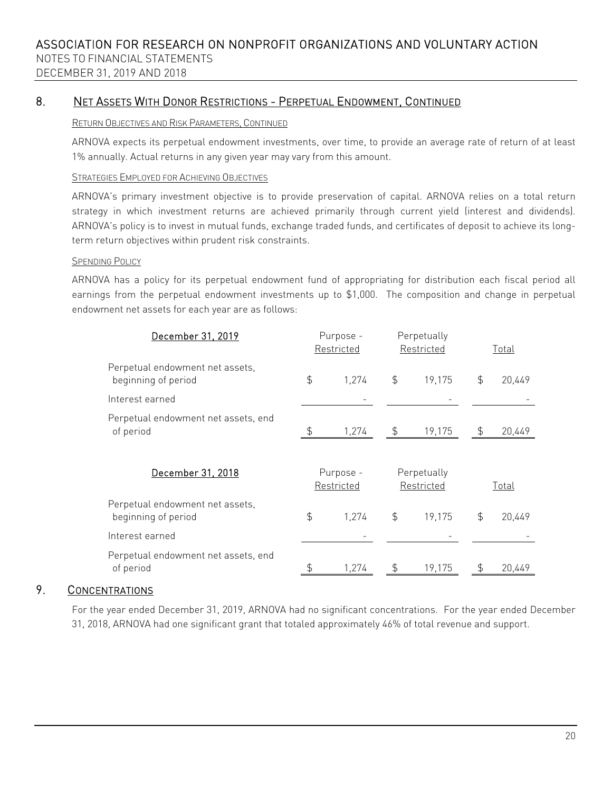# 8. NET ASSETS WITH DONOR RESTRICTIONS - PERPETUAL ENDOWMENT, CONTINUED

#### RETURN OBJECTIVES AND RISK PARAMETERS, CONTINUED

ARNOVA expects its perpetual endowment investments, over time, to provide an average rate of return of at least 1% annually. Actual returns in any given year may vary from this amount.

#### STRATEGIES EMPLOYED FOR ACHIEVING OBJECTIVES

ARNOVA's primary investment objective is to provide preservation of capital. ARNOVA relies on a total return strategy in which investment returns are achieved primarily through current yield (interest and dividends). ARNOVA's policy is to invest in mutual funds, exchange traded funds, and certificates of deposit to achieve its longterm return objectives within prudent risk constraints.

#### SPENDING POLICY

ARNOVA has a policy for its perpetual endowment fund of appropriating for distribution each fiscal period all earnings from the perpetual endowment investments up to \$1,000. The composition and change in perpetual endowment net assets for each year are as follows:

| December 31, 2019                                      | Purpose -<br>Restricted |                         | Perpetually<br>Restricted |                           | Total                          |        |
|--------------------------------------------------------|-------------------------|-------------------------|---------------------------|---------------------------|--------------------------------|--------|
| Perpetual endowment net assets,<br>beginning of period | \$                      | 1,274                   | $\frac{1}{2}$             | 19,175                    | $\frac{1}{2}$                  | 20,449 |
| Interest earned                                        |                         |                         |                           |                           |                                |        |
| Perpetual endowment net assets, end<br>of period       | $\mathfrak{L}$          | 1,274                   | \$                        | 19,175                    | \$                             | 20,449 |
| December 31, 2018                                      |                         | Purpose -<br>Restricted |                           | Perpetually<br>Restricted |                                | Total  |
| Perpetual endowment net assets,<br>beginning of period | $\mathfrak{P}$          | 1,274                   | $\mathfrak{P}$            | 19,175                    | $\textcircled{\scriptsize{5}}$ | 20,449 |
| Interest earned                                        |                         |                         |                           |                           |                                |        |
| Perpetual endowment net assets, end<br>of period       |                         | 1,274                   |                           | 19,175                    |                                | 20,449 |

### 9. CONCENTRATIONS

For the year ended December 31, 2019, ARNOVA had no significant concentrations. For the year ended December 31, 2018, ARNOVA had one significant grant that totaled approximately 46% of total revenue and support.